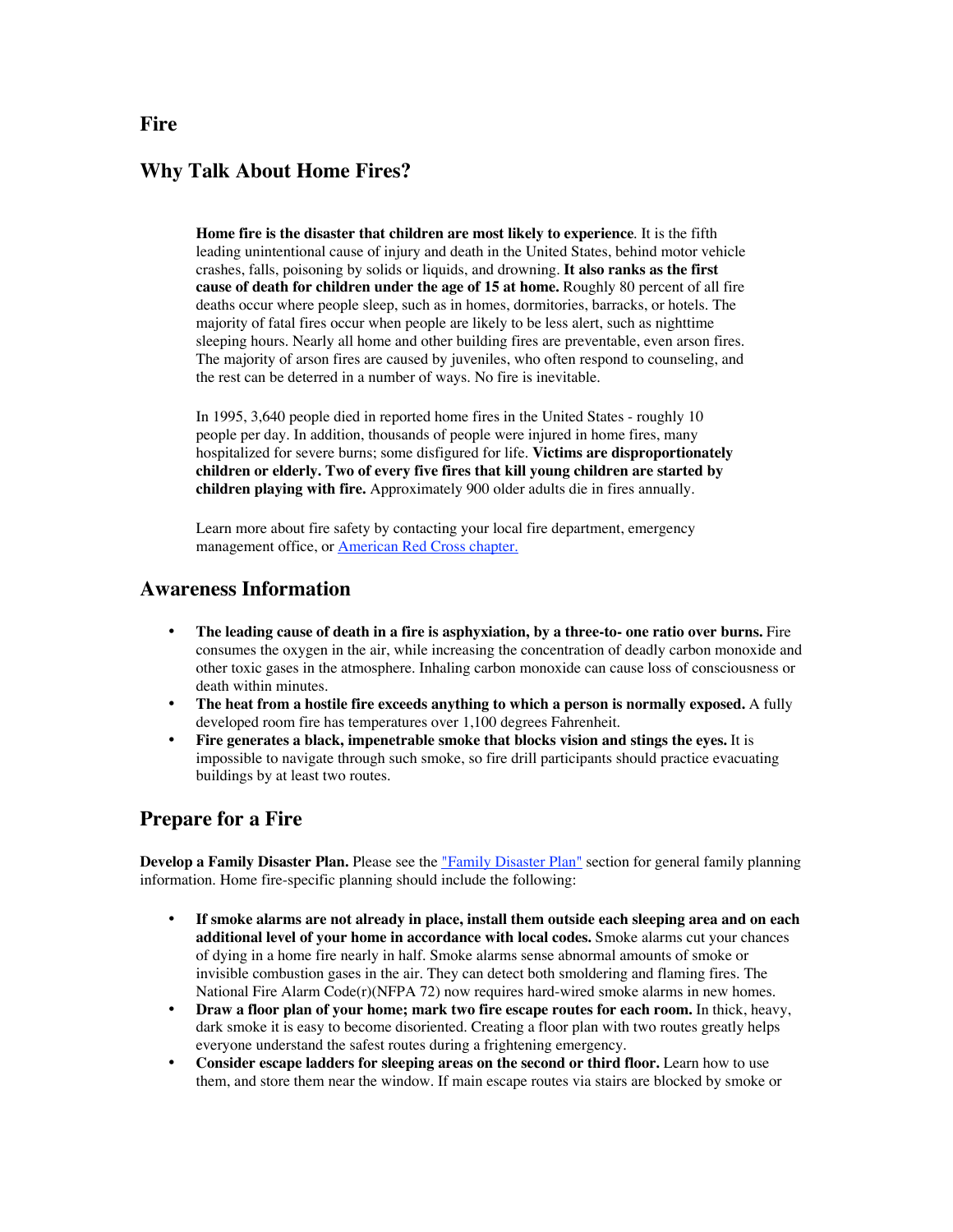### **Why Talk About Home Fires?**

**Home fire is the disaster that children are most likely to experience**. It is the fifth leading unintentional cause of injury and death in the United States, behind motor vehicle crashes, falls, poisoning by solids or liquids, and drowning. **It also ranks as the first cause of death for children under the age of 15 at home.** Roughly 80 percent of all fire deaths occur where people sleep, such as in homes, dormitories, barracks, or hotels. The majority of fatal fires occur when people are likely to be less alert, such as nighttime sleeping hours. Nearly all home and other building fires are preventable, even arson fires. The majority of arson fires are caused by juveniles, who often respond to counseling, and the rest can be deterred in a number of ways. No fire is inevitable.

In 1995, 3,640 people died in reported home fires in the United States - roughly 10 people per day. In addition, thousands of people were injured in home fires, many hospitalized for severe burns; some disfigured for life. **Victims are disproportionately children or elderly. Two of every five fires that kill young children are started by children playing with fire.** Approximately 900 older adults die in fires annually.

Learn more about fire safety by contacting your local fire department, emergency management office, or American Red Cross chapter.

### **Awareness Information**

**The leading cause of death in a fire is asphyxiation, by a three-to- one ratio over burns.** Fire consumes the oxygen in the air, while increasing the concentration of deadly carbon monoxide and other toxic gases in the atmosphere. Inhaling carbon monoxide can cause loss of consciousness or death within minutes.

**The heat from a hostile fire exceeds anything to which a person is normally exposed.** A fully developed room fire has temperatures over 1,100 degrees Fahrenheit.

**Fire generates a black, impenetrable smoke that blocks vision and stings the eyes.** It is impossible to navigate through such smoke, so fire drill participants should practice evacuating buildings by at least two routes.

### **Prepare for a Fire**

**Develop a Family Disaster Plan.** Please see the "Family Disaster Plan" section for general family planning information. Home fire-specific planning should include the following:

**If smoke alarms are not already in place, install them outside each sleeping area and on each additional level of your home in accordance with local codes.** Smoke alarms cut your chances of dying in a home fire nearly in half. Smoke alarms sense abnormal amounts of smoke or invisible combustion gases in the air. They can detect both smoldering and flaming fires. The National Fire Alarm Code(r)(NFPA 72) now requires hard-wired smoke alarms in new homes. **Draw a floor plan of your home; mark two fire escape routes for each room.** In thick, heavy, dark smoke it is easy to become disoriented. Creating a floor plan with two routes greatly helps everyone understand the safest routes during a frightening emergency.

**Consider escape ladders for sleeping areas on the second or third floor.** Learn how to use them, and store them near the window. If main escape routes via stairs are blocked by smoke or

#### **Fire**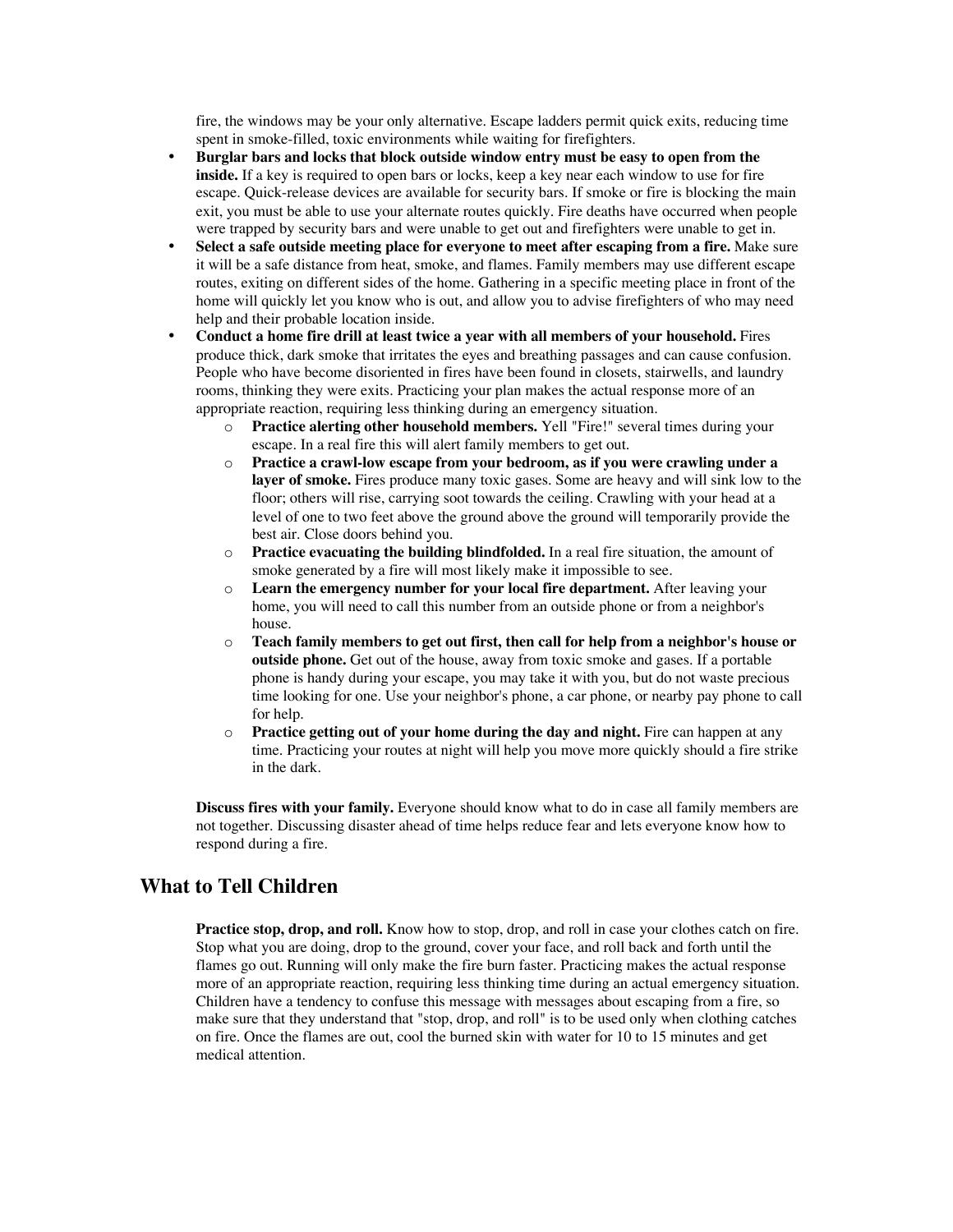fire, the windows may be your only alternative. Escape ladders permit quick exits, reducing time spent in smoke-filled, toxic environments while waiting for firefighters.

**Burglar bars and locks that block outside window entry must be easy to open from the inside.** If a key is required to open bars or locks, keep a key near each window to use for fire escape. Quick-release devices are available for security bars. If smoke or fire is blocking the main exit, you must be able to use your alternate routes quickly. Fire deaths have occurred when people were trapped by security bars and were unable to get out and firefighters were unable to get in. **Select a safe outside meeting place for everyone to meet after escaping from a fire.** Make sure it will be a safe distance from heat, smoke, and flames. Family members may use different escape routes, exiting on different sides of the home. Gathering in a specific meeting place in front of the home will quickly let you know who is out, and allow you to advise firefighters of who may need help and their probable location inside.

**Conduct a home fire drill at least twice a year with all members of your household.** Fires produce thick, dark smoke that irritates the eyes and breathing passages and can cause confusion. People who have become disoriented in fires have been found in closets, stairwells, and laundry rooms, thinking they were exits. Practicing your plan makes the actual response more of an appropriate reaction, requiring less thinking during an emergency situation.

- o **Practice alerting other household members.** Yell "Fire!" several times during your escape. In a real fire this will alert family members to get out.
- o **Practice a crawl-low escape from your bedroom, as if you were crawling under a layer of smoke.** Fires produce many toxic gases. Some are heavy and will sink low to the floor; others will rise, carrying soot towards the ceiling. Crawling with your head at a level of one to two feet above the ground above the ground will temporarily provide the best air. Close doors behind you.
- o **Practice evacuating the building blindfolded.** In a real fire situation, the amount of smoke generated by a fire will most likely make it impossible to see.
- o **Learn the emergency number for your local fire department.** After leaving your home, you will need to call this number from an outside phone or from a neighbor's house.
- o **Teach family members to get out first, then call for help from a neighbor's house or outside phone.** Get out of the house, away from toxic smoke and gases. If a portable phone is handy during your escape, you may take it with you, but do not waste precious time looking for one. Use your neighbor's phone, a car phone, or nearby pay phone to call for help.
- o **Practice getting out of your home during the day and night.** Fire can happen at any time. Practicing your routes at night will help you move more quickly should a fire strike in the dark.

**Discuss fires with your family.** Everyone should know what to do in case all family members are not together. Discussing disaster ahead of time helps reduce fear and lets everyone know how to respond during a fire.

## **What to Tell Children**

**Practice stop, drop, and roll.** Know how to stop, drop, and roll in case your clothes catch on fire. Stop what you are doing, drop to the ground, cover your face, and roll back and forth until the flames go out. Running will only make the fire burn faster. Practicing makes the actual response more of an appropriate reaction, requiring less thinking time during an actual emergency situation. Children have a tendency to confuse this message with messages about escaping from a fire, so make sure that they understand that "stop, drop, and roll" is to be used only when clothing catches on fire. Once the flames are out, cool the burned skin with water for 10 to 15 minutes and get medical attention.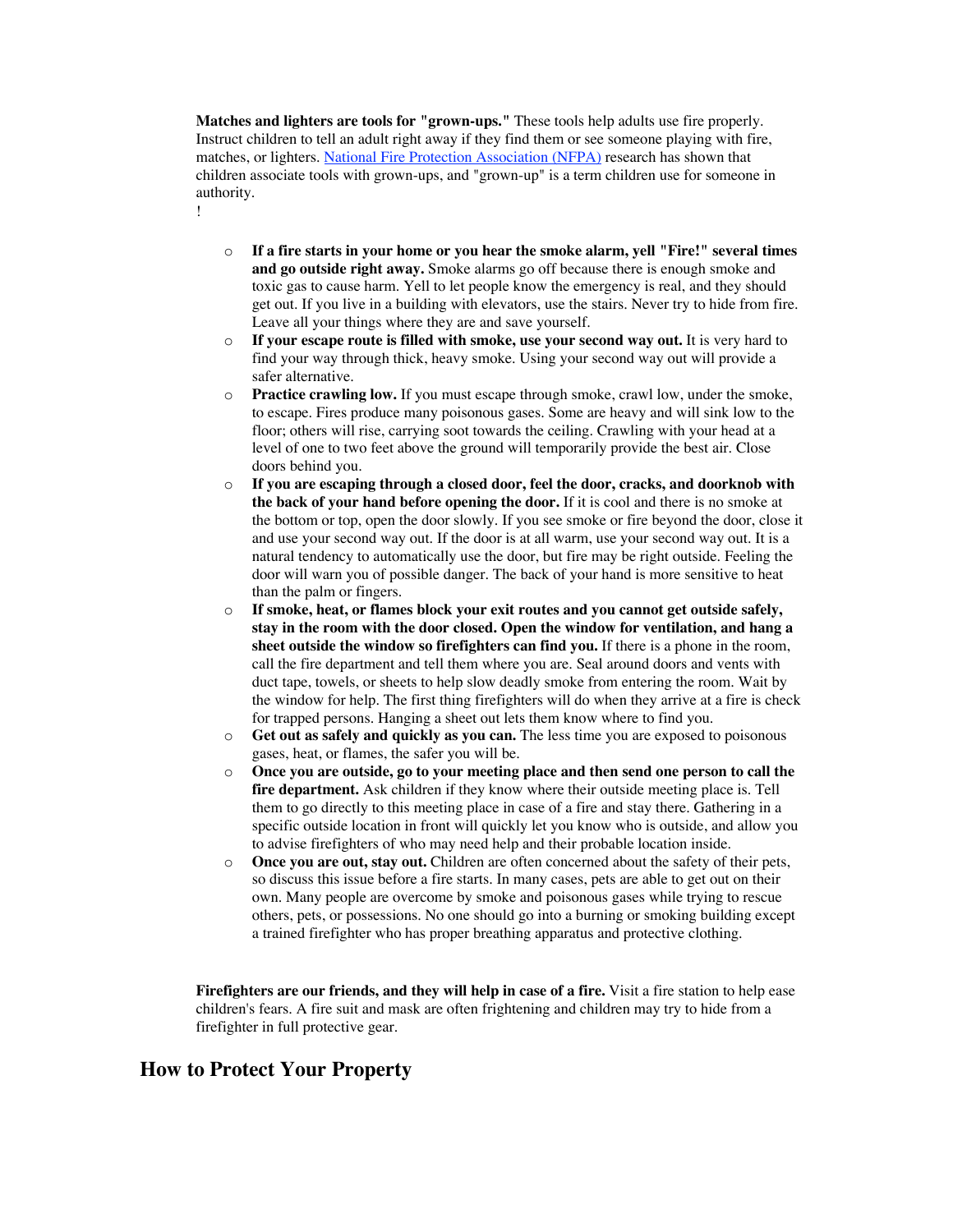**Matches and lighters are tools for "grown-ups."** These tools help adults use fire properly. Instruct children to tell an adult right away if they find them or see someone playing with fire, matches, or lighters. National Fire Protection Association (NFPA) research has shown that children associate tools with grown-ups, and "grown-up" is a term children use for someone in authority.

- o **If a fire starts in your home or you hear the smoke alarm, yell "Fire!" several times and go outside right away.** Smoke alarms go off because there is enough smoke and toxic gas to cause harm. Yell to let people know the emergency is real, and they should get out. If you live in a building with elevators, use the stairs. Never try to hide from fire. Leave all your things where they are and save yourself.
- o **If your escape route is filled with smoke, use your second way out.** It is very hard to find your way through thick, heavy smoke. Using your second way out will provide a safer alternative.
- o **Practice crawling low.** If you must escape through smoke, crawl low, under the smoke, to escape. Fires produce many poisonous gases. Some are heavy and will sink low to the floor; others will rise, carrying soot towards the ceiling. Crawling with your head at a level of one to two feet above the ground will temporarily provide the best air. Close doors behind you.
- o **If you are escaping through a closed door, feel the door, cracks, and doorknob with the back of your hand before opening the door.** If it is cool and there is no smoke at the bottom or top, open the door slowly. If you see smoke or fire beyond the door, close it and use your second way out. If the door is at all warm, use your second way out. It is a natural tendency to automatically use the door, but fire may be right outside. Feeling the door will warn you of possible danger. The back of your hand is more sensitive to heat than the palm or fingers.
- o **If smoke, heat, or flames block your exit routes and you cannot get outside safely, stay in the room with the door closed. Open the window for ventilation, and hang a sheet outside the window so firefighters can find you.** If there is a phone in the room, call the fire department and tell them where you are. Seal around doors and vents with duct tape, towels, or sheets to help slow deadly smoke from entering the room. Wait by the window for help. The first thing firefighters will do when they arrive at a fire is check for trapped persons. Hanging a sheet out lets them know where to find you.
- o **Get out as safely and quickly as you can.** The less time you are exposed to poisonous gases, heat, or flames, the safer you will be.
- o **Once you are outside, go to your meeting place and then send one person to call the fire department.** Ask children if they know where their outside meeting place is. Tell them to go directly to this meeting place in case of a fire and stay there. Gathering in a specific outside location in front will quickly let you know who is outside, and allow you to advise firefighters of who may need help and their probable location inside.
- o **Once you are out, stay out.** Children are often concerned about the safety of their pets, so discuss this issue before a fire starts. In many cases, pets are able to get out on their own. Many people are overcome by smoke and poisonous gases while trying to rescue others, pets, or possessions. No one should go into a burning or smoking building except a trained firefighter who has proper breathing apparatus and protective clothing.

**Firefighters are our friends, and they will help in case of a fire.** Visit a fire station to help ease children's fears. A fire suit and mask are often frightening and children may try to hide from a firefighter in full protective gear.

# **How to Protect Your Property**

!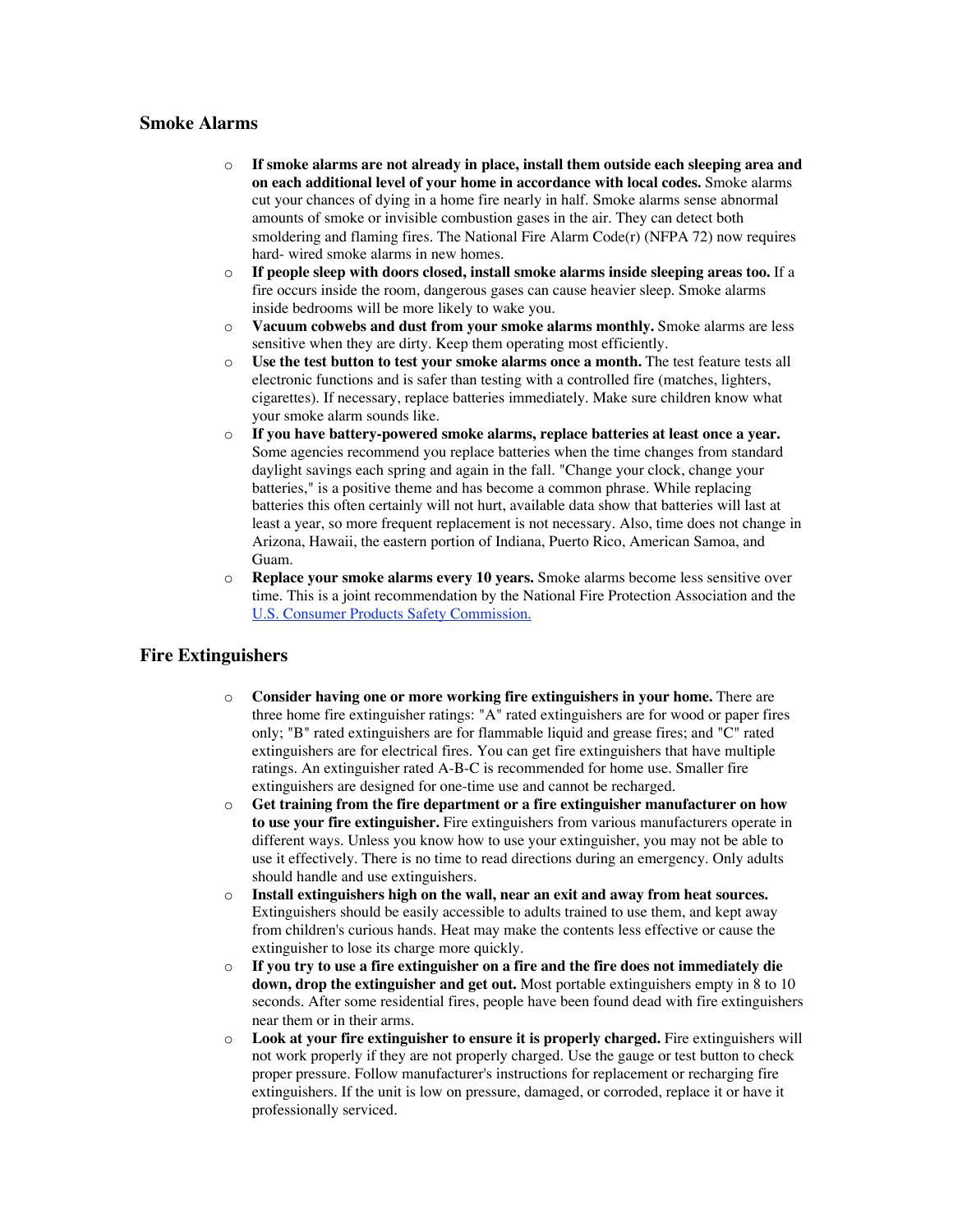### **Smoke Alarms**

- o **If smoke alarms are not already in place, install them outside each sleeping area and on each additional level of your home in accordance with local codes.** Smoke alarms cut your chances of dying in a home fire nearly in half. Smoke alarms sense abnormal amounts of smoke or invisible combustion gases in the air. They can detect both smoldering and flaming fires. The National Fire Alarm  $Code(r)$  (NFPA 72) now requires hard- wired smoke alarms in new homes.
- o **If people sleep with doors closed, install smoke alarms inside sleeping areas too.** If a fire occurs inside the room, dangerous gases can cause heavier sleep. Smoke alarms inside bedrooms will be more likely to wake you.
- o **Vacuum cobwebs and dust from your smoke alarms monthly.** Smoke alarms are less sensitive when they are dirty. Keep them operating most efficiently.
- o **Use the test button to test your smoke alarms once a month.** The test feature tests all electronic functions and is safer than testing with a controlled fire (matches, lighters, cigarettes). If necessary, replace batteries immediately. Make sure children know what your smoke alarm sounds like.
- o **If you have battery-powered smoke alarms, replace batteries at least once a year.** Some agencies recommend you replace batteries when the time changes from standard daylight savings each spring and again in the fall. "Change your clock, change your batteries," is a positive theme and has become a common phrase. While replacing batteries this often certainly will not hurt, available data show that batteries will last at least a year, so more frequent replacement is not necessary. Also, time does not change in Arizona, Hawaii, the eastern portion of Indiana, Puerto Rico, American Samoa, and Guam.
- o **Replace your smoke alarms every 10 years.** Smoke alarms become less sensitive over time. This is a joint recommendation by the National Fire Protection Association and the U.S. Consumer Products Safety Commission.

### **Fire Extinguishers**

- o **Consider having one or more working fire extinguishers in your home.** There are three home fire extinguisher ratings: "A" rated extinguishers are for wood or paper fires only; "B" rated extinguishers are for flammable liquid and grease fires; and "C" rated extinguishers are for electrical fires. You can get fire extinguishers that have multiple ratings. An extinguisher rated A-B-C is recommended for home use. Smaller fire extinguishers are designed for one-time use and cannot be recharged.
- o **Get training from the fire department or a fire extinguisher manufacturer on how to use your fire extinguisher.** Fire extinguishers from various manufacturers operate in different ways. Unless you know how to use your extinguisher, you may not be able to use it effectively. There is no time to read directions during an emergency. Only adults should handle and use extinguishers.
- o **Install extinguishers high on the wall, near an exit and away from heat sources.** Extinguishers should be easily accessible to adults trained to use them, and kept away from children's curious hands. Heat may make the contents less effective or cause the extinguisher to lose its charge more quickly.
- o **If you try to use a fire extinguisher on a fire and the fire does not immediately die down, drop the extinguisher and get out.** Most portable extinguishers empty in 8 to 10 seconds. After some residential fires, people have been found dead with fire extinguishers near them or in their arms.
- o **Look at your fire extinguisher to ensure it is properly charged.** Fire extinguishers will not work properly if they are not properly charged. Use the gauge or test button to check proper pressure. Follow manufacturer's instructions for replacement or recharging fire extinguishers. If the unit is low on pressure, damaged, or corroded, replace it or have it professionally serviced.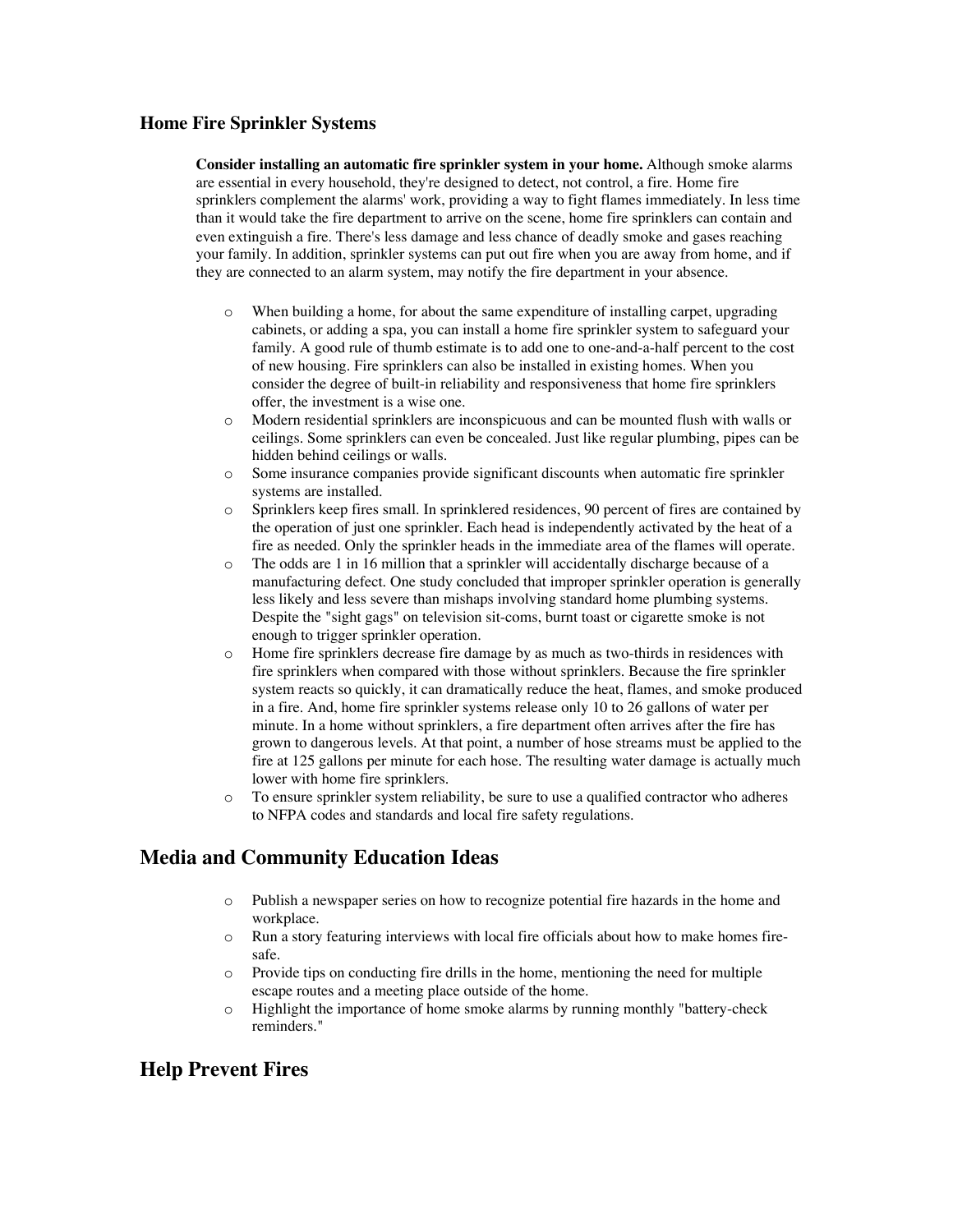### **Home Fire Sprinkler Systems**

**Consider installing an automatic fire sprinkler system in your home.** Although smoke alarms are essential in every household, they're designed to detect, not control, a fire. Home fire sprinklers complement the alarms' work, providing a way to fight flames immediately. In less time than it would take the fire department to arrive on the scene, home fire sprinklers can contain and even extinguish a fire. There's less damage and less chance of deadly smoke and gases reaching your family. In addition, sprinkler systems can put out fire when you are away from home, and if they are connected to an alarm system, may notify the fire department in your absence.

- o When building a home, for about the same expenditure of installing carpet, upgrading cabinets, or adding a spa, you can install a home fire sprinkler system to safeguard your family. A good rule of thumb estimate is to add one to one-and-a-half percent to the cost of new housing. Fire sprinklers can also be installed in existing homes. When you consider the degree of built-in reliability and responsiveness that home fire sprinklers offer, the investment is a wise one.
- o Modern residential sprinklers are inconspicuous and can be mounted flush with walls or ceilings. Some sprinklers can even be concealed. Just like regular plumbing, pipes can be hidden behind ceilings or walls.
- o Some insurance companies provide significant discounts when automatic fire sprinkler systems are installed.
- o Sprinklers keep fires small. In sprinklered residences, 90 percent of fires are contained by the operation of just one sprinkler. Each head is independently activated by the heat of a fire as needed. Only the sprinkler heads in the immediate area of the flames will operate.
- o The odds are 1 in 16 million that a sprinkler will accidentally discharge because of a manufacturing defect. One study concluded that improper sprinkler operation is generally less likely and less severe than mishaps involving standard home plumbing systems. Despite the "sight gags" on television sit-coms, burnt toast or cigarette smoke is not enough to trigger sprinkler operation.
- o Home fire sprinklers decrease fire damage by as much as two-thirds in residences with fire sprinklers when compared with those without sprinklers. Because the fire sprinkler system reacts so quickly, it can dramatically reduce the heat, flames, and smoke produced in a fire. And, home fire sprinkler systems release only 10 to 26 gallons of water per minute. In a home without sprinklers, a fire department often arrives after the fire has grown to dangerous levels. At that point, a number of hose streams must be applied to the fire at 125 gallons per minute for each hose. The resulting water damage is actually much lower with home fire sprinklers.
- o To ensure sprinkler system reliability, be sure to use a qualified contractor who adheres to NFPA codes and standards and local fire safety regulations.

# **Media and Community Education Ideas**

- o Publish a newspaper series on how to recognize potential fire hazards in the home and workplace.
- o Run a story featuring interviews with local fire officials about how to make homes firesafe.
- o Provide tips on conducting fire drills in the home, mentioning the need for multiple escape routes and a meeting place outside of the home.
- o Highlight the importance of home smoke alarms by running monthly "battery-check reminders."

# **Help Prevent Fires**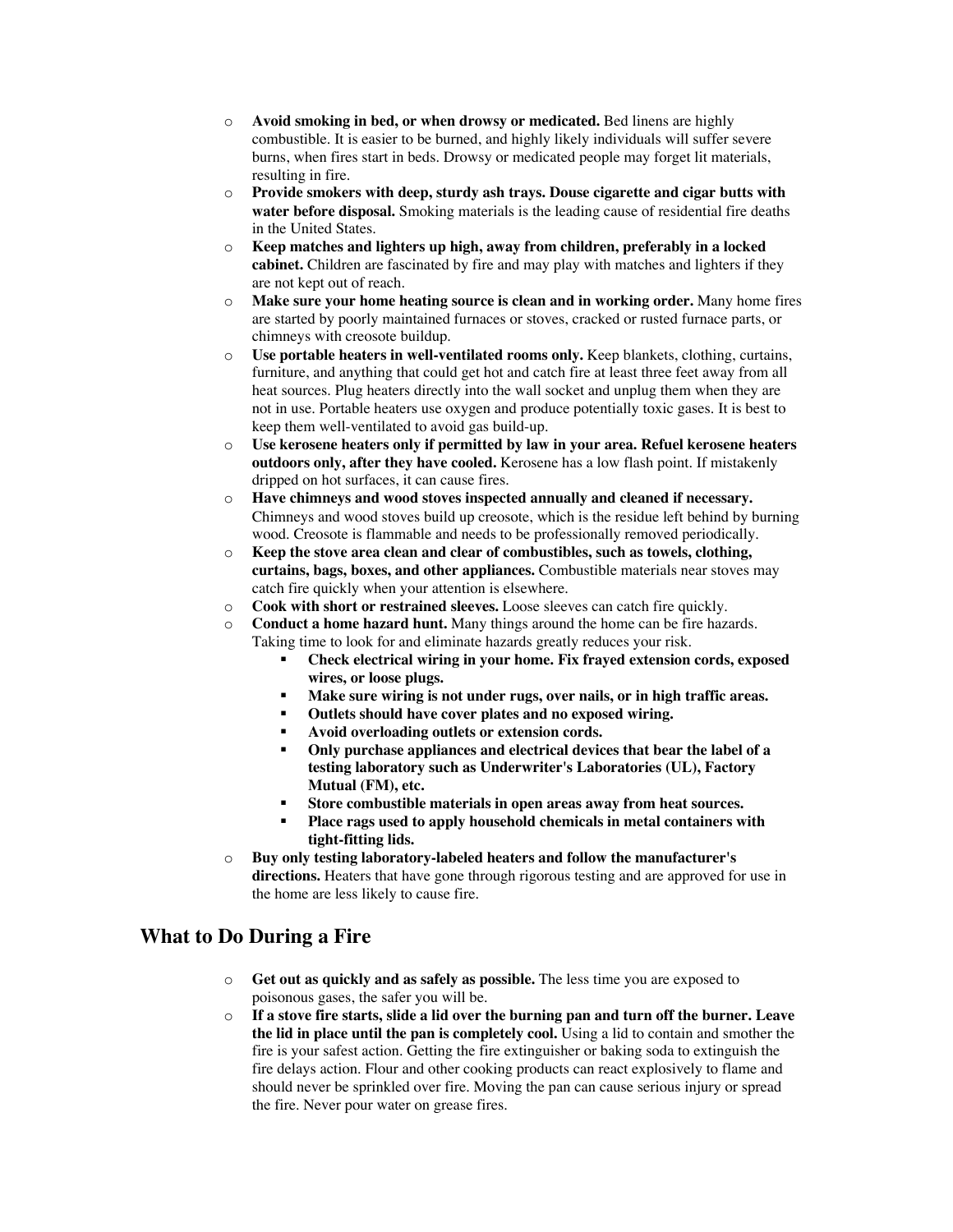- o **Avoid smoking in bed, or when drowsy or medicated.** Bed linens are highly combustible. It is easier to be burned, and highly likely individuals will suffer severe burns, when fires start in beds. Drowsy or medicated people may forget lit materials, resulting in fire.
- o **Provide smokers with deep, sturdy ash trays. Douse cigarette and cigar butts with water before disposal.** Smoking materials is the leading cause of residential fire deaths in the United States.
- o **Keep matches and lighters up high, away from children, preferably in a locked cabinet.** Children are fascinated by fire and may play with matches and lighters if they are not kept out of reach.
- o **Make sure your home heating source is clean and in working order.** Many home fires are started by poorly maintained furnaces or stoves, cracked or rusted furnace parts, or chimneys with creosote buildup.
- o **Use portable heaters in well-ventilated rooms only.** Keep blankets, clothing, curtains, furniture, and anything that could get hot and catch fire at least three feet away from all heat sources. Plug heaters directly into the wall socket and unplug them when they are not in use. Portable heaters use oxygen and produce potentially toxic gases. It is best to keep them well-ventilated to avoid gas build-up.
- o **Use kerosene heaters only if permitted by law in your area. Refuel kerosene heaters outdoors only, after they have cooled.** Kerosene has a low flash point. If mistakenly dripped on hot surfaces, it can cause fires.
- o **Have chimneys and wood stoves inspected annually and cleaned if necessary.** Chimneys and wood stoves build up creosote, which is the residue left behind by burning wood. Creosote is flammable and needs to be professionally removed periodically.
- o **Keep the stove area clean and clear of combustibles, such as towels, clothing, curtains, bags, boxes, and other appliances.** Combustible materials near stoves may catch fire quickly when your attention is elsewhere.
- o **Cook with short or restrained sleeves.** Loose sleeves can catch fire quickly.
- Conduct a home hazard hunt. Many things around the home can be fire hazards. Taking time to look for and eliminate hazards greatly reduces your risk.
	- ß **Check electrical wiring in your home. Fix frayed extension cords, exposed wires, or loose plugs.**
	- ß **Make sure wiring is not under rugs, over nails, or in high traffic areas.**
	- ß **Outlets should have cover plates and no exposed wiring.**
	- ß **Avoid overloading outlets or extension cords.**
	- ß **Only purchase appliances and electrical devices that bear the label of a testing laboratory such as Underwriter's Laboratories (UL), Factory Mutual (FM), etc.**
	- ß **Store combustible materials in open areas away from heat sources.**
	- ß **Place rags used to apply household chemicals in metal containers with tight-fitting lids.**
- o **Buy only testing laboratory-labeled heaters and follow the manufacturer's directions.** Heaters that have gone through rigorous testing and are approved for use in the home are less likely to cause fire.

# **What to Do During a Fire**

- o **Get out as quickly and as safely as possible.** The less time you are exposed to poisonous gases, the safer you will be.
- o **If a stove fire starts, slide a lid over the burning pan and turn off the burner. Leave the lid in place until the pan is completely cool.** Using a lid to contain and smother the fire is your safest action. Getting the fire extinguisher or baking soda to extinguish the fire delays action. Flour and other cooking products can react explosively to flame and should never be sprinkled over fire. Moving the pan can cause serious injury or spread the fire. Never pour water on grease fires.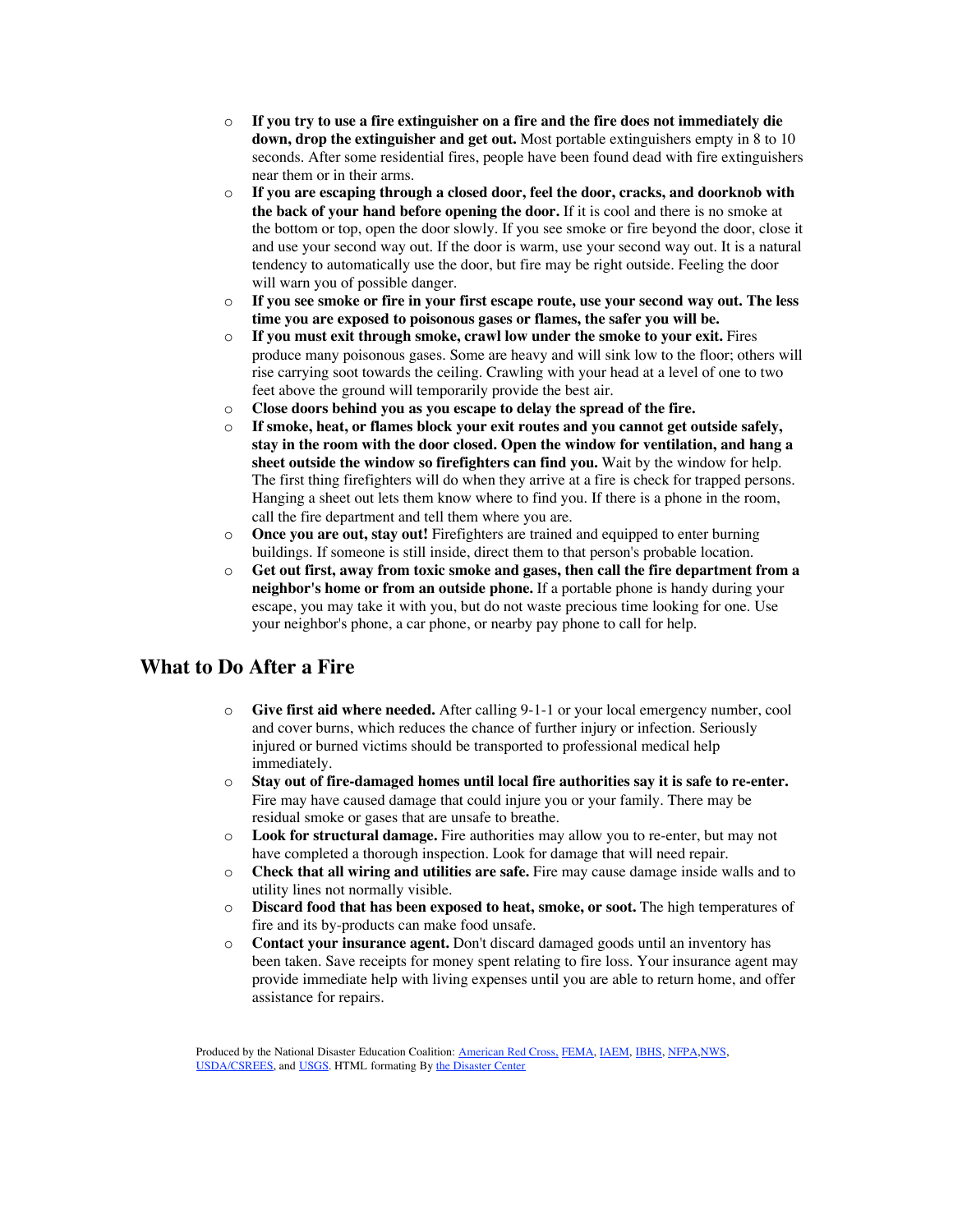- o **If you try to use a fire extinguisher on a fire and the fire does not immediately die down, drop the extinguisher and get out.** Most portable extinguishers empty in 8 to 10 seconds. After some residential fires, people have been found dead with fire extinguishers near them or in their arms.
- o **If you are escaping through a closed door, feel the door, cracks, and doorknob with the back of your hand before opening the door.** If it is cool and there is no smoke at the bottom or top, open the door slowly. If you see smoke or fire beyond the door, close it and use your second way out. If the door is warm, use your second way out. It is a natural tendency to automatically use the door, but fire may be right outside. Feeling the door will warn you of possible danger.
- o **If you see smoke or fire in your first escape route, use your second way out. The less time you are exposed to poisonous gases or flames, the safer you will be.**
- o **If you must exit through smoke, crawl low under the smoke to your exit.** Fires produce many poisonous gases. Some are heavy and will sink low to the floor; others will rise carrying soot towards the ceiling. Crawling with your head at a level of one to two feet above the ground will temporarily provide the best air.
- o **Close doors behind you as you escape to delay the spread of the fire.**
- o **If smoke, heat, or flames block your exit routes and you cannot get outside safely, stay in the room with the door closed. Open the window for ventilation, and hang a sheet outside the window so firefighters can find you.** Wait by the window for help. The first thing firefighters will do when they arrive at a fire is check for trapped persons. Hanging a sheet out lets them know where to find you. If there is a phone in the room, call the fire department and tell them where you are.
- o **Once you are out, stay out!** Firefighters are trained and equipped to enter burning buildings. If someone is still inside, direct them to that person's probable location.
- o **Get out first, away from toxic smoke and gases, then call the fire department from a neighbor's home or from an outside phone.** If a portable phone is handy during your escape, you may take it with you, but do not waste precious time looking for one. Use your neighbor's phone, a car phone, or nearby pay phone to call for help.

# **What to Do After a Fire**

- Give first aid where needed. After calling 9-1-1 or your local emergency number, cool and cover burns, which reduces the chance of further injury or infection. Seriously injured or burned victims should be transported to professional medical help immediately.
- o **Stay out of fire-damaged homes until local fire authorities say it is safe to re-enter.** Fire may have caused damage that could injure you or your family. There may be residual smoke or gases that are unsafe to breathe.
- o **Look for structural damage.** Fire authorities may allow you to re-enter, but may not have completed a thorough inspection. Look for damage that will need repair.
- o **Check that all wiring and utilities are safe.** Fire may cause damage inside walls and to utility lines not normally visible.
- o **Discard food that has been exposed to heat, smoke, or soot.** The high temperatures of fire and its by-products can make food unsafe.
- o **Contact your insurance agent.** Don't discard damaged goods until an inventory has been taken. Save receipts for money spent relating to fire loss. Your insurance agent may provide immediate help with living expenses until you are able to return home, and offer assistance for repairs.

Produced by the National Disaster Education Coalition: American Red Cross, FEMA, IAEM, IBHS, NFPA,NWS, USDA/CSREES, and USGS. HTML formating By the Disaster Center